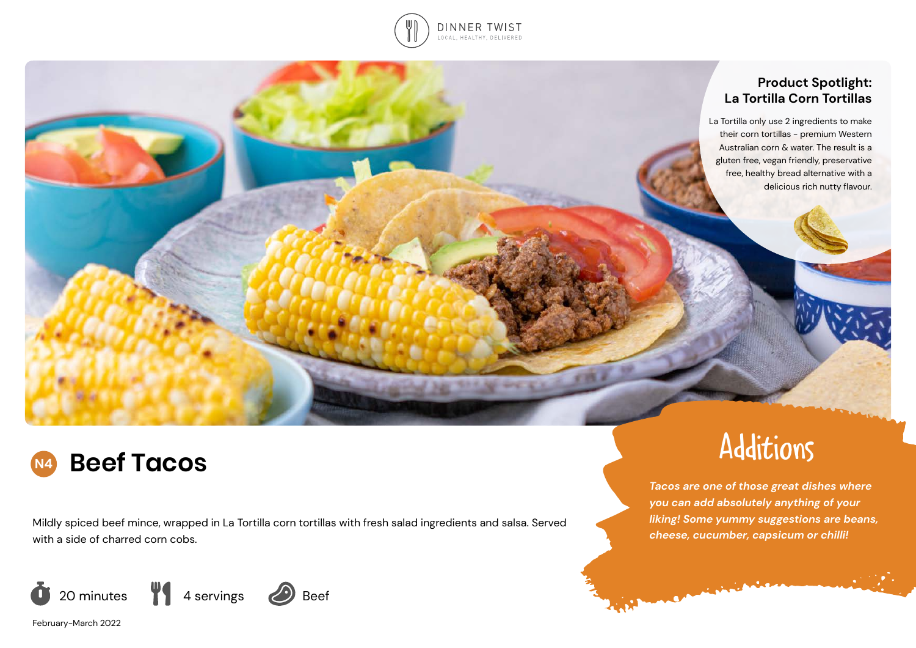

# **Product Spotlight: La Tortilla Corn Tortillas**

La Tortilla only use 2 ingredients to make their corn tortillas - premium Western Australian corn & water. The result is a gluten free, vegan friendly, preservative free, healthy bread alternative with a delicious rich nutty flavour.

# **N4 Beef Tacos**

Mildly spiced beef mince, wrapped in La Tortilla corn tortillas with fresh salad ingredients and salsa. Served with a side of charred corn cobs.



Additions

*Tacos are one of those great dishes where you can add absolutely anything of your liking! Some yummy suggestions are beans, cheese, cucumber, capsicum or chilli!*

**Commission** 

February-March 2022